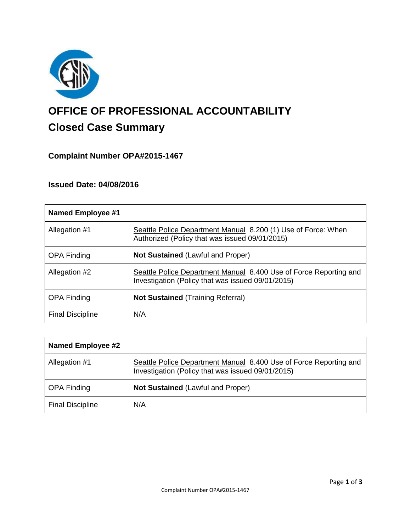

# **OFFICE OF PROFESSIONAL ACCOUNTABILITY Closed Case Summary**

## **Complaint Number OPA#2015-1467**

## **Issued Date: 04/08/2016**

| <b>Named Employee #1</b> |                                                                                                                        |
|--------------------------|------------------------------------------------------------------------------------------------------------------------|
| Allegation #1            | Seattle Police Department Manual 8.200 (1) Use of Force: When<br>Authorized (Policy that was issued 09/01/2015)        |
| <b>OPA Finding</b>       | <b>Not Sustained (Lawful and Proper)</b>                                                                               |
| Allegation #2            | Seattle Police Department Manual 8.400 Use of Force Reporting and<br>Investigation (Policy that was issued 09/01/2015) |
| <b>OPA Finding</b>       | <b>Not Sustained (Training Referral)</b>                                                                               |
| <b>Final Discipline</b>  | N/A                                                                                                                    |

| <b>Named Employee #2</b> |                                                                                                                        |
|--------------------------|------------------------------------------------------------------------------------------------------------------------|
| Allegation #1            | Seattle Police Department Manual 8.400 Use of Force Reporting and<br>Investigation (Policy that was issued 09/01/2015) |
| <b>OPA Finding</b>       | <b>Not Sustained (Lawful and Proper)</b>                                                                               |
| <b>Final Discipline</b>  | N/A                                                                                                                    |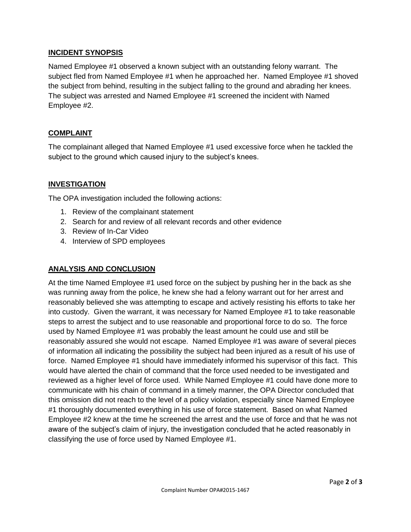## **INCIDENT SYNOPSIS**

Named Employee #1 observed a known subject with an outstanding felony warrant. The subject fled from Named Employee #1 when he approached her. Named Employee #1 shoved the subject from behind, resulting in the subject falling to the ground and abrading her knees. The subject was arrested and Named Employee #1 screened the incident with Named Employee #2.

## **COMPLAINT**

The complainant alleged that Named Employee #1 used excessive force when he tackled the subject to the ground which caused injury to the subject's knees.

## **INVESTIGATION**

The OPA investigation included the following actions:

- 1. Review of the complainant statement
- 2. Search for and review of all relevant records and other evidence
- 3. Review of In-Car Video
- 4. Interview of SPD employees

#### **ANALYSIS AND CONCLUSION**

At the time Named Employee #1 used force on the subject by pushing her in the back as she was running away from the police, he knew she had a felony warrant out for her arrest and reasonably believed she was attempting to escape and actively resisting his efforts to take her into custody. Given the warrant, it was necessary for Named Employee #1 to take reasonable steps to arrest the subject and to use reasonable and proportional force to do so. The force used by Named Employee #1 was probably the least amount he could use and still be reasonably assured she would not escape. Named Employee #1 was aware of several pieces of information all indicating the possibility the subject had been injured as a result of his use of force. Named Employee #1 should have immediately informed his supervisor of this fact. This would have alerted the chain of command that the force used needed to be investigated and reviewed as a higher level of force used. While Named Employee #1 could have done more to communicate with his chain of command in a timely manner, the OPA Director concluded that this omission did not reach to the level of a policy violation, especially since Named Employee #1 thoroughly documented everything in his use of force statement. Based on what Named Employee #2 knew at the time he screened the arrest and the use of force and that he was not aware of the subject's claim of injury, the investigation concluded that he acted reasonably in classifying the use of force used by Named Employee #1.